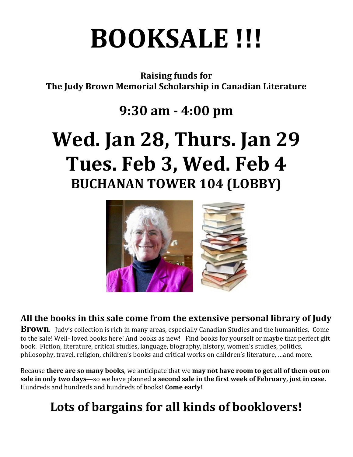# **BOOKSALE !!!**

**Raising funds for The Judy Brown Memorial Scholarship in Canadian Literature** 

### **9:30 am - 4:00 pm**

# **Wed. Jan 28, Thurs. Jan 29** Tues. Feb 3, Wed. Feb 4 **BUCHANAN TOWER 104 (LOBBY)**



#### All the books in this sale come from the extensive personal library of Judy

**Brown**. Judy's collection is rich in many areas, especially Canadian Studies and the humanities. Come to the sale! Well- loved books here! And books as new! Find books for yourself or maybe that perfect gift book. Fiction, literature, critical studies, language, biography, history, women's studies, politics, philosophy, travel, religion, children's books and critical works on children's literature, ...and more.

Because **there are so many books**, we anticipate that we **may not have room to get all of them out on sale in only two days**—so we have planned **a second sale in the first week of February, just in case.** Hundreds and hundreds and hundreds of books! Come early!

## Lots of bargains for all kinds of booklovers!